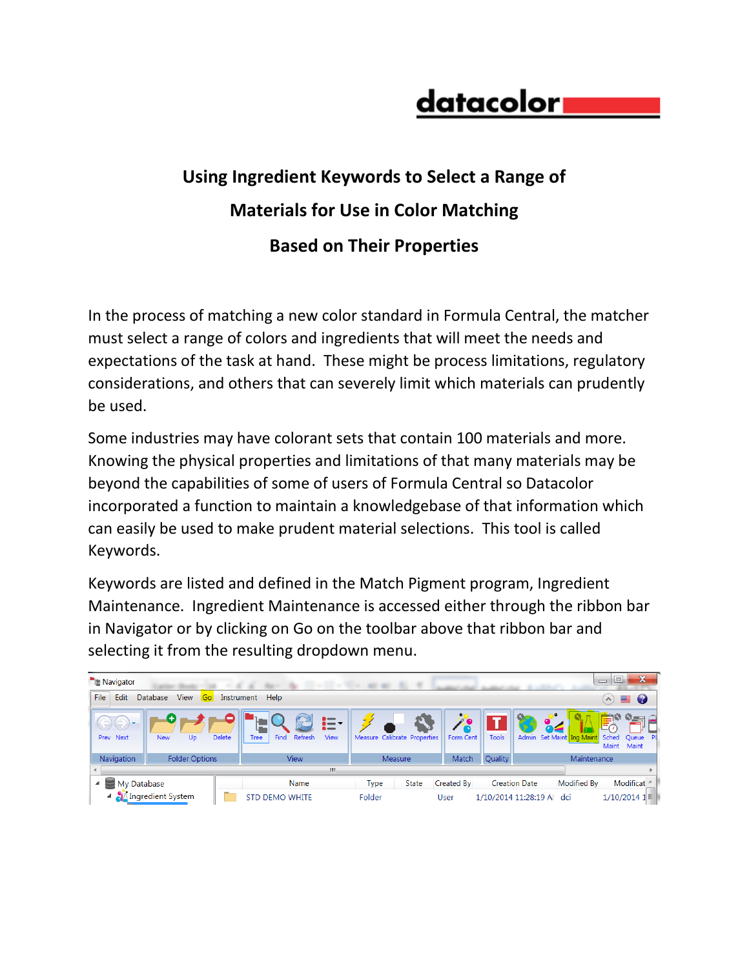## datacolori

## **Using Ingredient Keywords to Select a Range of Materials for Use in Color Matching Based on Their Properties**

In the process of matching a new color standard in Formula Central, the matcher must select a range of colors and ingredients that will meet the needs and expectations of the task at hand. These might be process limitations, regulatory considerations, and others that can severely limit which materials can prudently be used.

Some industries may have colorant sets that contain 100 materials and more. Knowing the physical properties and limitations of that many materials may be beyond the capabilities of some of users of Formula Central so Datacolor incorporated a function to maintain a knowledgebase of that information which can easily be used to make prudent material selections. This tool is called Keywords.

Keywords are listed and defined in the Match Pigment program, Ingredient Maintenance. Ingredient Maintenance is accessed either through the ribbon bar in Navigator or by clicking on Go on the toolbar above that ribbon bar and selecting it from the resulting dropdown menu.

| Navigator                                          |                               |                       |                                | $12.12 - 12.2$                      | and sales<br><b>STERN AND</b> |                              |           |                      |                    |                           | e<br>$\overline{\phantom{0}}$ | $\mathbf x$                              |
|----------------------------------------------------|-------------------------------|-----------------------|--------------------------------|-------------------------------------|-------------------------------|------------------------------|-----------|----------------------|--------------------|---------------------------|-------------------------------|------------------------------------------|
| File<br>Edit                                       | <b>View</b><br>Go<br>Database | Instrument            | Help                           |                                     |                               |                              |           |                      |                    |                           | $(\wedge)$                    | $\mathbf Q$<br>또                         |
| $\rightarrow$<br>$\sqrt{2}$<br>VIT<br>Next<br>Prev | Up<br><b>New</b>              | <b>Delete</b>         | Find<br>Refresh<br><b>Tree</b> | $\bullet$ $-$<br>i=-<br><b>View</b> |                               | Measure Calibrate Properties | Form Cent | <b>Tools</b>         |                    | Admin Set Maint Ing Maint | a a<br>Sched<br>Maint         | \$3 mm<br><b>TITLE</b><br>Queue<br>Maint |
| Navigation                                         | <b>Folder Options</b>         |                       | <b>View</b>                    |                                     |                               | Measure                      | Match     | Quality              | Maintenance        |                           |                               |                                          |
| m.                                                 |                               |                       |                                |                                     |                               |                              |           |                      |                    |                           |                               |                                          |
| My Database<br>◢                                   |                               | Name                  |                                | <b>Type</b>                         | <b>State</b>                  | Created By                   |           | <b>Creation Date</b> | <b>Modified By</b> |                           | Modificat                     |                                          |
| 4 MIngredient System                               |                               | <b>STD DEMO WHITE</b> |                                | Folder                              |                               | User                         |           | 1/10/2014 11:28:19 A | dci                |                           | $1/10/2014$ $1 \equiv$        |                                          |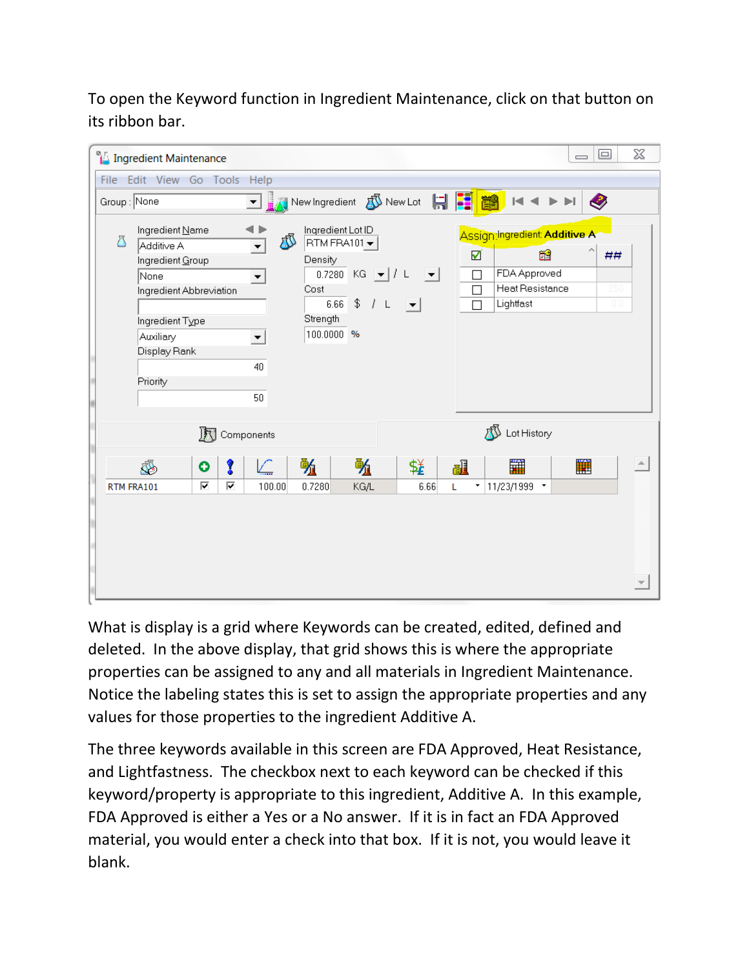To open the Keyword function in Ingredient Maintenance, click on that button on its ribbon bar.

| X<br>$\Box$<br><sup>e</sup> Ingredient Maintenance<br>$\equiv$                                                                                        |                                                                                                                                                                                                                                                                            |                                                                                                                                                 |  |  |  |  |  |
|-------------------------------------------------------------------------------------------------------------------------------------------------------|----------------------------------------------------------------------------------------------------------------------------------------------------------------------------------------------------------------------------------------------------------------------------|-------------------------------------------------------------------------------------------------------------------------------------------------|--|--|--|--|--|
| File Edit View Go Tools Help                                                                                                                          |                                                                                                                                                                                                                                                                            |                                                                                                                                                 |  |  |  |  |  |
| Group: None                                                                                                                                           | New Ingredient <b>N</b> New Lot<br>$\vert \cdot \vert$                                                                                                                                                                                                                     | HFB<br>$\blacktriangleright$ $\blacktriangleright$ $\blacktriangleright$<br>$\bullet$<br>$ \mathbf{q} $ $ \mathbf{q} $                          |  |  |  |  |  |
| Ingredient Name<br>Δ<br>Additive A<br>Ingredient Group<br>None<br>Ingredient Abbreviation<br>Ingredient Type<br>Auxiliary<br>Display Rank<br>Priority | Ingredient Lot ID<br>J<br>RTM FRA101 -<br>$\blacktriangledown$<br>Density<br>$KG =   / L$<br>0.7280<br>$\vert \mathbf{v} \vert$<br>$\overline{\phantom{a}}$<br>Cost<br>$6.66 - $$<br>$J$ L<br>$ \mathbf{v} $<br>Strength<br>100.0000 %<br>$\blacktriangledown$<br>40<br>50 | Assign Ingredient Additive A<br>త<br>☑<br>##<br>FDA Approved<br>$\Box$<br><b>Heat Resistance</b><br>250<br>$\Box$<br>Lightfast<br>$\Box$<br>0.0 |  |  |  |  |  |
| 沢                                                                                                                                                     | Components                                                                                                                                                                                                                                                                 | πß<br>Lot History                                                                                                                               |  |  |  |  |  |
| I<br>J.<br>۰<br>⊽<br>⊽<br>RTM FRA101                                                                                                                  | 畅<br>蛏<br>强<br>C<br>KG/L<br>6.66<br>100.00<br>0.7280                                                                                                                                                                                                                       | H<br>雦<br>醖<br>L<br>11/23/1999 *<br>$\overline{\phantom{a}}$                                                                                    |  |  |  |  |  |
|                                                                                                                                                       |                                                                                                                                                                                                                                                                            |                                                                                                                                                 |  |  |  |  |  |

What is display is a grid where Keywords can be created, edited, defined and deleted. In the above display, that grid shows this is where the appropriate properties can be assigned to any and all materials in Ingredient Maintenance. Notice the labeling states this is set to assign the appropriate properties and any values for those properties to the ingredient Additive A.

The three keywords available in this screen are FDA Approved, Heat Resistance, and Lightfastness. The checkbox next to each keyword can be checked if this keyword/property is appropriate to this ingredient, Additive A. In this example, FDA Approved is either a Yes or a No answer. If it is in fact an FDA Approved material, you would enter a check into that box. If it is not, you would leave it blank.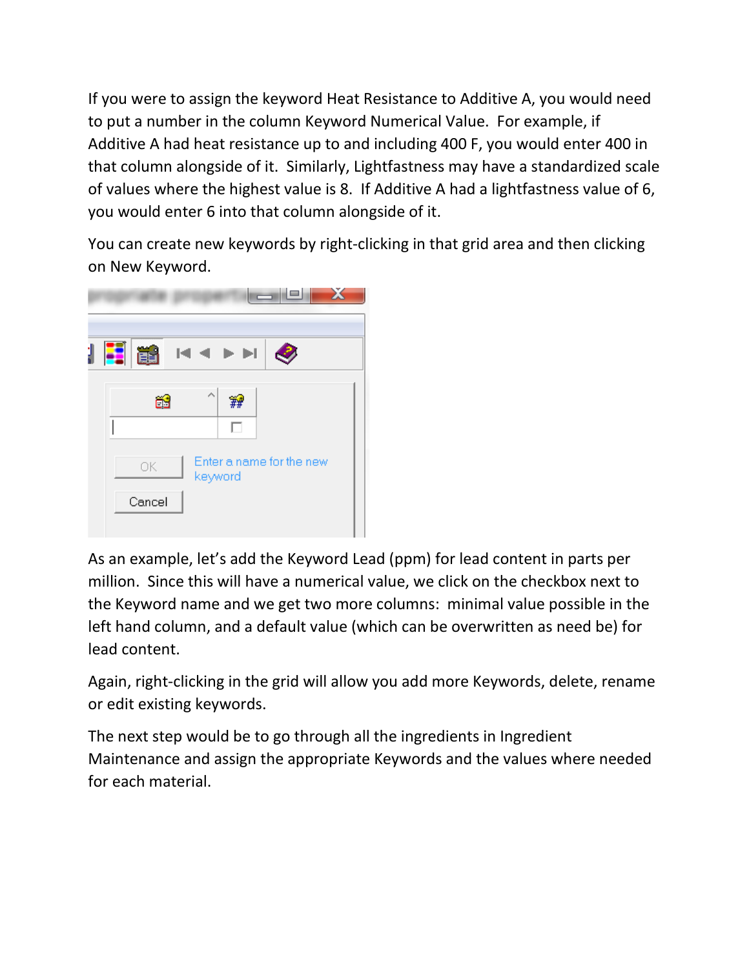If you were to assign the keyword Heat Resistance to Additive A, you would need to put a number in the column Keyword Numerical Value. For example, if Additive A had heat resistance up to and including 400 F, you would enter 400 in that column alongside of it. Similarly, Lightfastness may have a standardized scale of values where the highest value is 8. If Additive A had a lightfastness value of 6, you would enter 6 into that column alongside of it.

You can create new keywords by right-clicking in that grid area and then clicking on New Keyword.



As an example, let's add the Keyword Lead (ppm) for lead content in parts per million. Since this will have a numerical value, we click on the checkbox next to the Keyword name and we get two more columns: minimal value possible in the left hand column, and a default value (which can be overwritten as need be) for lead content.

Again, right-clicking in the grid will allow you add more Keywords, delete, rename or edit existing keywords.

The next step would be to go through all the ingredients in Ingredient Maintenance and assign the appropriate Keywords and the values where needed for each material.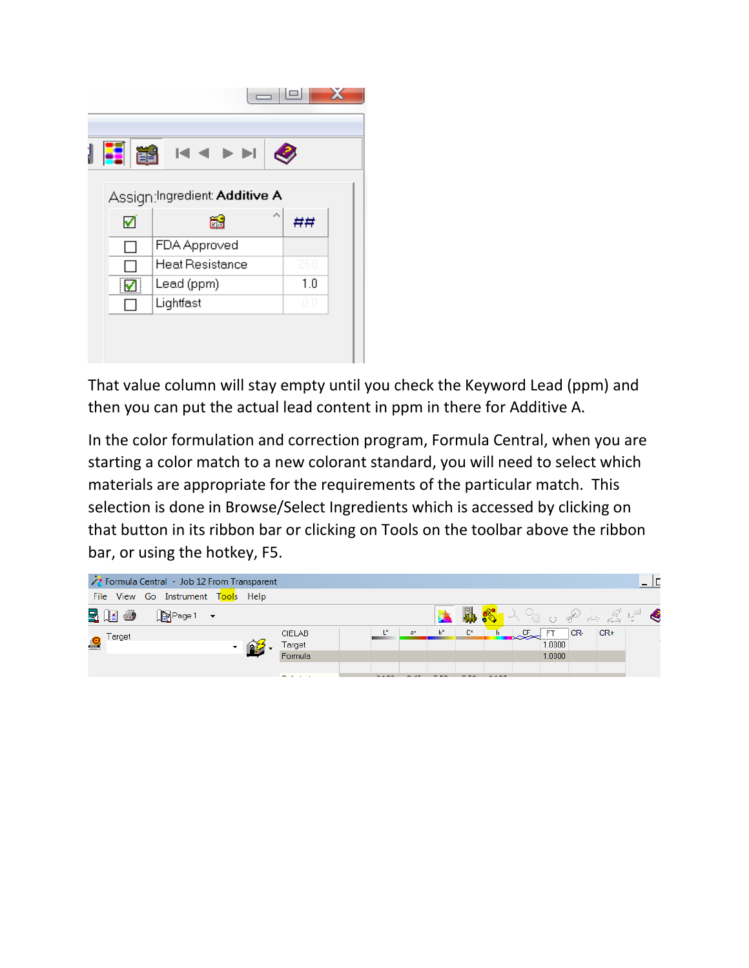|                               | $= \mathbf{P} $     |     |  |  |  |  |
|-------------------------------|---------------------|-----|--|--|--|--|
| <b>Ei ei</b>                  | $M \triangleleft N$ |     |  |  |  |  |
| Assign:Ingredient: Additive A |                     |     |  |  |  |  |
| ✔                             | ő                   | ##  |  |  |  |  |
|                               | FDA Approved        |     |  |  |  |  |
|                               | Heat Resistance     | 250 |  |  |  |  |
| ॹ                             | Lead (ppm)          | 1.0 |  |  |  |  |
|                               | Lightfast           | 0.0 |  |  |  |  |

That value column will stay empty until you check the Keyword Lead (ppm) and then you can put the actual lead content in ppm in there for Additive A.

In the color formulation and correction program, Formula Central, when you are starting a color match to a new colorant standard, you will need to select which materials are appropriate for the requirements of the particular match. This selection is done in Browse/Select Ingredients which is accessed by clicking on that button in its ribbon bar or clicking on Tools on the toolbar above the ribbon bar, or using the hotkey, F5.

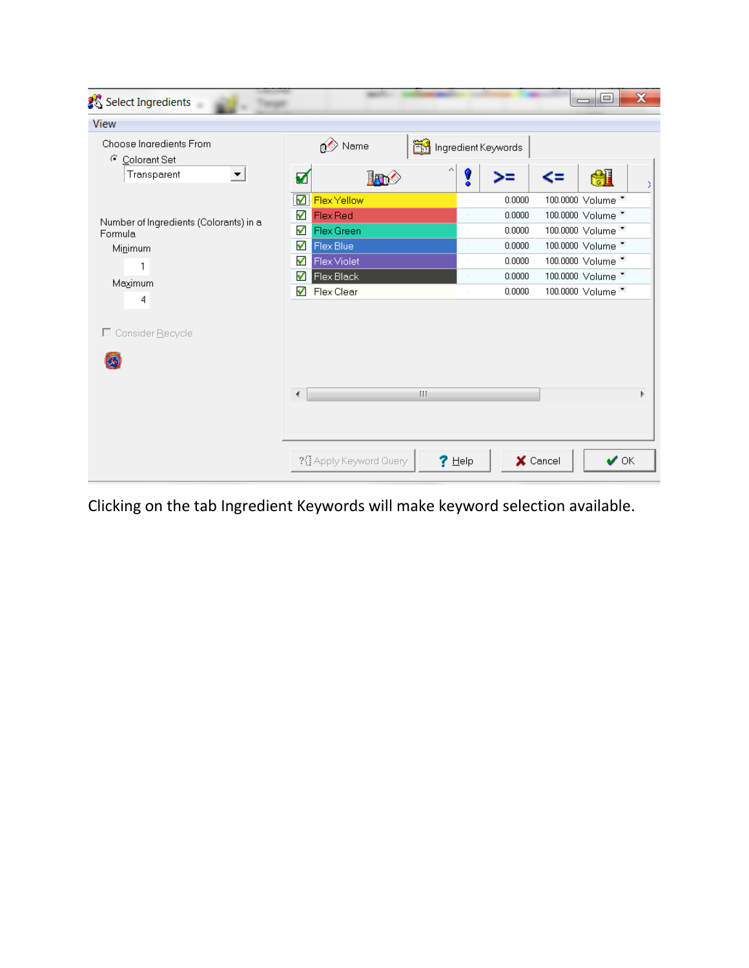| Select Ingredients<br>۰                                                                                 | $\mathbf x$<br>画<br>$\overline{\phantom{0}}$                                                                                                                                                                                                                                                                                                                                                                                               |
|---------------------------------------------------------------------------------------------------------|--------------------------------------------------------------------------------------------------------------------------------------------------------------------------------------------------------------------------------------------------------------------------------------------------------------------------------------------------------------------------------------------------------------------------------------------|
| View                                                                                                    |                                                                                                                                                                                                                                                                                                                                                                                                                                            |
| Choose Ingredients From<br>C Colorant Set<br>Transparent<br>▼                                           | Name<br>Ingredient Keywords<br>H<br>V<br>Į<br>⋗⋍                                                                                                                                                                                                                                                                                                                                                                                           |
| Number of Ingredients (Colorants) in a<br>Formula<br>Minimum<br>1<br>Maximum<br>4<br>□ Consider Recycle | <b>Z</b> Flex Yellow<br>100.0000 Volume<br>0.0000<br>✔<br><b>Flex Red</b><br>100.0000 Volume *<br>0.0000<br>$\sim$<br>100.0000 Volume<br>√<br>Flex Green<br>0.0000<br>$\sim$<br>✔<br>100.0000 Volume *<br>Flex Blue<br>0.0000<br>$\sim$<br>100.0000 Volume "<br>ᢦ<br><b>Flex Violet</b><br>0.0000<br>✔<br>100.0000 Volume *<br>Flex Black<br>0.0000<br>$\sim$<br>100.0000 Volume *<br>√<br>0.0000<br>Flex Clear<br>$\sim$<br>HI.<br>Þ<br>∢ |
|                                                                                                         | ?{} Apply Keyword Query<br>$?$ Help<br>X Cancel<br>$\vee$ OK                                                                                                                                                                                                                                                                                                                                                                               |

Clicking on the tab Ingredient Keywords will make keyword selection available.